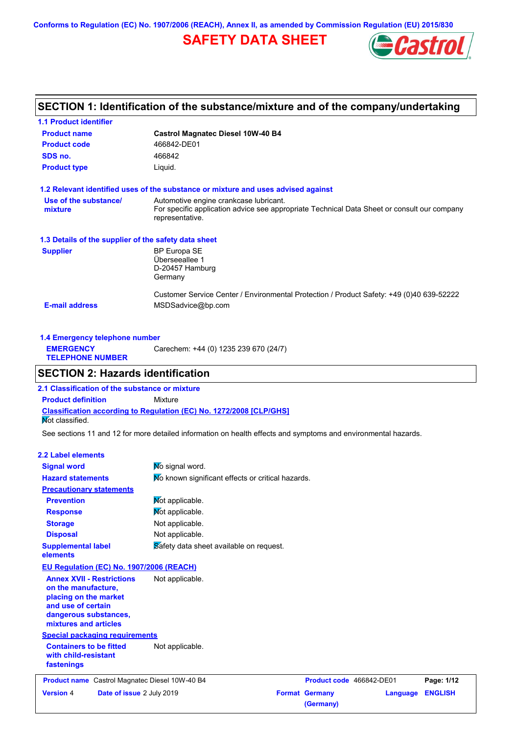**Conforms to Regulation (EC) No. 1907/2006 (REACH), Annex II, as amended by Commission Regulation (EU) 2015/830**

# **SAFETY DATA SHEET**



## **SECTION 1: Identification of the substance/mixture and of the company/undertaking**

| <b>1.1 Product identifier</b>                        |                                                                                                                                                          |
|------------------------------------------------------|----------------------------------------------------------------------------------------------------------------------------------------------------------|
| <b>Product name</b>                                  | <b>Castrol Magnatec Diesel 10W-40 B4</b>                                                                                                                 |
| <b>Product code</b>                                  | 466842-DE01                                                                                                                                              |
| SDS no.                                              | 466842                                                                                                                                                   |
| <b>Product type</b>                                  | Liquid.                                                                                                                                                  |
|                                                      | 1.2 Relevant identified uses of the substance or mixture and uses advised against                                                                        |
| Use of the substance/<br>mixture                     | Automotive engine crankcase lubricant.<br>For specific application advice see appropriate Technical Data Sheet or consult our company<br>representative. |
| 1.3 Details of the supplier of the safety data sheet |                                                                                                                                                          |
| <b>Supplier</b>                                      | <b>BP Europa SE</b><br>Überseeallee 1<br>D-20457 Hamburg<br>Germany                                                                                      |
| <b>E-mail address</b>                                | Customer Service Center / Environmental Protection / Product Safety: +49 (0)40 639-52222<br>MSDSadvice@bp.com                                            |

| 1.4 Emergency telephone number              |                                       |
|---------------------------------------------|---------------------------------------|
| <b>EMERGENCY</b><br><b>TELEPHONE NUMBER</b> | Carechem: +44 (0) 1235 239 670 (24/7) |

## **SECTION 2: Hazards identification**

**Classification according to Regulation (EC) No. 1272/2008 [CLP/GHS] 2.1 Classification of the substance or mixture Product definition** Mixture Not classified.

See sections 11 and 12 for more detailed information on health effects and symptoms and environmental hazards.

### **2.2 Label elements**

| <b>Signal word</b>                                                                                                                                       | No signal word.                                   |                                    |          |                |
|----------------------------------------------------------------------------------------------------------------------------------------------------------|---------------------------------------------------|------------------------------------|----------|----------------|
| <b>Hazard statements</b>                                                                                                                                 | Mo known significant effects or critical hazards. |                                    |          |                |
| <b>Precautionary statements</b>                                                                                                                          |                                                   |                                    |          |                |
| <b>Prevention</b>                                                                                                                                        | Mot applicable.                                   |                                    |          |                |
| <b>Response</b>                                                                                                                                          | Mot applicable.                                   |                                    |          |                |
| <b>Storage</b>                                                                                                                                           | Not applicable.                                   |                                    |          |                |
| <b>Disposal</b>                                                                                                                                          | Not applicable.                                   |                                    |          |                |
| <b>Supplemental label</b><br>elements                                                                                                                    | Safety data sheet available on request.           |                                    |          |                |
| EU Regulation (EC) No. 1907/2006 (REACH)                                                                                                                 |                                                   |                                    |          |                |
| <b>Annex XVII - Restrictions</b><br>on the manufacture.<br>placing on the market<br>and use of certain<br>dangerous substances,<br>mixtures and articles | Not applicable.                                   |                                    |          |                |
| <b>Special packaging requirements</b>                                                                                                                    |                                                   |                                    |          |                |
| <b>Containers to be fitted</b><br>with child-resistant<br>fastenings                                                                                     | Not applicable.                                   |                                    |          |                |
| <b>Product name</b> Castrol Magnatec Diesel 10W-40 B4                                                                                                    |                                                   | Product code 466842-DE01           |          | Page: 1/12     |
| Date of issue 2 July 2019<br><b>Version 4</b>                                                                                                            |                                                   | <b>Format Germany</b><br>(Germany) | Language | <b>ENGLISH</b> |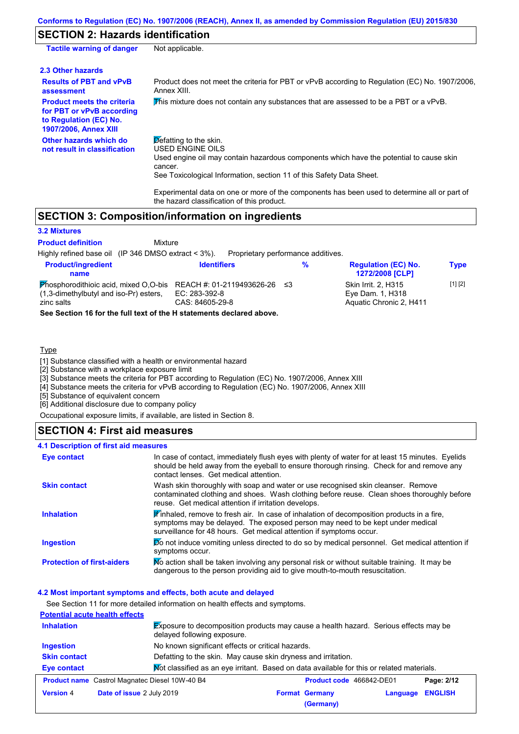## **SECTION 2: Hazards identification**

| <b>Tactile warning of danger</b>                                                                                         | Not applicable.                                                                                                                                                                                                                          |
|--------------------------------------------------------------------------------------------------------------------------|------------------------------------------------------------------------------------------------------------------------------------------------------------------------------------------------------------------------------------------|
| 2.3 Other hazards                                                                                                        |                                                                                                                                                                                                                                          |
| <b>Results of PBT and vPvB</b><br>assessment                                                                             | Product does not meet the criteria for PBT or vPvB according to Regulation (EC) No. 1907/2006.<br>Annex XIII.                                                                                                                            |
| <b>Product meets the criteria</b><br>for PBT or vPvB according<br>to Regulation (EC) No.<br><b>1907/2006, Annex XIII</b> | This mixture does not contain any substances that are assessed to be a PBT or a vPvB.                                                                                                                                                    |
| Other hazards which do<br>not result in classification                                                                   | $\triangleright$ efatting to the skin.<br>USED ENGINE OILS<br>Used engine oil may contain hazardous components which have the potential to cause skin<br>cancer.<br>See Toxicological Information, section 11 of this Safety Data Sheet. |
|                                                                                                                          | Experimental data on one or more of the components has been used to determine all or part of                                                                                                                                             |

the hazard classification of this product.

## **SECTION 3: Composition/information on ingredients**

#### **3.2 Mixtures**

Mixture **Product definition**

Highly refined base oil (IP 346 DMSO extract < 3%). Proprietary performance additives.

| <b>Product/ingredient</b><br>name                                                                                                | <b>Identifiers</b>               | % | <b>Regulation (EC) No.</b><br>1272/2008 [CLP]                             | Type        |
|----------------------------------------------------------------------------------------------------------------------------------|----------------------------------|---|---------------------------------------------------------------------------|-------------|
| Phosphorodithioic acid, mixed O,O-bis REACH #: 01-2119493626-26 $\leq$ 3<br>(1,3-dimethylbutyl and iso-Pr) esters.<br>zinc salts | EC: 283-392-8<br>CAS: 84605-29-8 |   | <b>Skin Irrit. 2. H315</b><br>Eye Dam. 1, H318<br>Aquatic Chronic 2, H411 | $[1]$ $[2]$ |

**See Section 16 for the full text of the H statements declared above.**

### Type

[1] Substance classified with a health or environmental hazard

[2] Substance with a workplace exposure limit

[3] Substance meets the criteria for PBT according to Regulation (EC) No. 1907/2006, Annex XIII

[4] Substance meets the criteria for vPvB according to Regulation (EC) No. 1907/2006, Annex XIII

[5] Substance of equivalent concern

[6] Additional disclosure due to company policy

Occupational exposure limits, if available, are listed in Section 8.

## **SECTION 4: First aid measures**

### **4.1 Description of first aid measures**

| <b>Eye contact</b>                | In case of contact, immediately flush eyes with plenty of water for at least 15 minutes. Eyelids<br>should be held away from the eyeball to ensure thorough rinsing. Check for and remove any<br>contact lenses. Get medical attention.           |
|-----------------------------------|---------------------------------------------------------------------------------------------------------------------------------------------------------------------------------------------------------------------------------------------------|
| <b>Skin contact</b>               | Wash skin thoroughly with soap and water or use recognised skin cleanser. Remove<br>contaminated clothing and shoes. Wash clothing before reuse. Clean shoes thoroughly before<br>reuse. Get medical attention if irritation develops.            |
| <b>Inhalation</b>                 | Finhaled, remove to fresh air. In case of inhalation of decomposition products in a fire,<br>symptoms may be delayed. The exposed person may need to be kept under medical<br>surveillance for 48 hours. Get medical attention if symptoms occur. |
| <b>Ingestion</b>                  | Do not induce vomiting unless directed to do so by medical personnel. Get medical attention if<br>symptoms occur.                                                                                                                                 |
| <b>Protection of first-aiders</b> | No action shall be taken involving any personal risk or without suitable training. It may be<br>dangerous to the person providing aid to give mouth-to-mouth resuscitation.                                                                       |

#### **4.2 Most important symptoms and effects, both acute and delayed**

See Section 11 for more detailed information on health effects and symptoms.

| <b>Potential acute health effects</b> |                                                       |                                                                                           |  |
|---------------------------------------|-------------------------------------------------------|-------------------------------------------------------------------------------------------|--|
| <b>Inhalation</b>                     | delayed following exposure.                           | Exposure to decomposition products may cause a health hazard. Serious effects may be      |  |
| Ingestion                             | No known significant effects or critical hazards.     |                                                                                           |  |
| <b>Skin contact</b>                   |                                                       | Defatting to the skin. May cause skin dryness and irritation.                             |  |
| <b>Eye contact</b>                    |                                                       | Mot classified as an eye irritant. Based on data available for this or related materials. |  |
|                                       | <b>Product name</b> Castrol Magnatec Diesel 10W-40 B4 | Product code 466842-DE01<br>Page: 2/12                                                    |  |
| <b>Version 4</b>                      | Date of issue 2 July 2019                             | <b>ENGLISH</b><br><b>Format Germany</b><br>Language                                       |  |
|                                       |                                                       | (Germany)                                                                                 |  |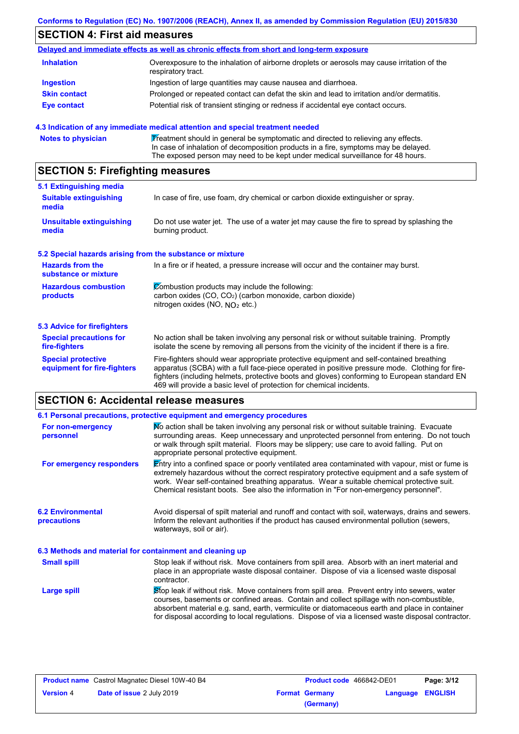# **SECTION 4: First aid measures**

|                     | Delayed and immediate effects as well as chronic effects from short and long-term exposure                        |
|---------------------|-------------------------------------------------------------------------------------------------------------------|
| <b>Inhalation</b>   | Overexposure to the inhalation of airborne droplets or aerosols may cause irritation of the<br>respiratory tract. |
| <b>Ingestion</b>    | Ingestion of large quantities may cause nausea and diarrhoea.                                                     |
| <b>Skin contact</b> | Prolonged or repeated contact can defat the skin and lead to irritation and/or dermatitis.                        |
| Eye contact         | Potential risk of transient stinging or redness if accidental eye contact occurs.                                 |
|                     |                                                                                                                   |

### **4.3 Indication of any immediate medical attention and special treatment needed**

|  | <b>Notes to physician</b> | Treatment should in general be symptomatic and directed to relieving any effects.<br>In case of inhalation of decomposition products in a fire, symptoms may be delayed.<br>The exposed person may need to be kept under medical surveillance for 48 hours. |
|--|---------------------------|-------------------------------------------------------------------------------------------------------------------------------------------------------------------------------------------------------------------------------------------------------------|
|--|---------------------------|-------------------------------------------------------------------------------------------------------------------------------------------------------------------------------------------------------------------------------------------------------------|

# **SECTION 5: Firefighting measures**

| 5.1 Extinguishing media                                   |                                                                                                                                                                                                                                                                                                                                                                   |
|-----------------------------------------------------------|-------------------------------------------------------------------------------------------------------------------------------------------------------------------------------------------------------------------------------------------------------------------------------------------------------------------------------------------------------------------|
| <b>Suitable extinguishing</b><br>media                    | In case of fire, use foam, dry chemical or carbon dioxide extinguisher or spray.                                                                                                                                                                                                                                                                                  |
| <b>Unsuitable extinguishing</b><br>media                  | Do not use water jet. The use of a water jet may cause the fire to spread by splashing the<br>burning product.                                                                                                                                                                                                                                                    |
| 5.2 Special hazards arising from the substance or mixture |                                                                                                                                                                                                                                                                                                                                                                   |
| <b>Hazards from the</b><br>substance or mixture           | In a fire or if heated, a pressure increase will occur and the container may burst.                                                                                                                                                                                                                                                                               |
| <b>Hazardous combustion</b><br>products                   | Combustion products may include the following:<br>carbon oxides (CO, CO <sub>2</sub> ) (carbon monoxide, carbon dioxide)<br>nitrogen oxides (NO, $N_O$ , etc.)                                                                                                                                                                                                    |
| 5.3 Advice for firefighters                               |                                                                                                                                                                                                                                                                                                                                                                   |
| <b>Special precautions for</b><br>fire-fighters           | No action shall be taken involving any personal risk or without suitable training. Promptly<br>isolate the scene by removing all persons from the vicinity of the incident if there is a fire.                                                                                                                                                                    |
| <b>Special protective</b><br>equipment for fire-fighters  | Fire-fighters should wear appropriate protective equipment and self-contained breathing<br>apparatus (SCBA) with a full face-piece operated in positive pressure mode. Clothing for fire-<br>fighters (including helmets, protective boots and gloves) conforming to European standard EN<br>469 will provide a basic level of protection for chemical incidents. |

# **SECTION 6: Accidental release measures**

|                                                          | 6.1 Personal precautions, protective equipment and emergency procedures                                                                                                                                                                                                                                                                                                                        |
|----------------------------------------------------------|------------------------------------------------------------------------------------------------------------------------------------------------------------------------------------------------------------------------------------------------------------------------------------------------------------------------------------------------------------------------------------------------|
| For non-emergency<br>personnel                           | No action shall be taken involving any personal risk or without suitable training. Evacuate<br>surrounding areas. Keep unnecessary and unprotected personnel from entering. Do not touch<br>or walk through spilt material. Floors may be slippery; use care to avoid falling. Put on<br>appropriate personal protective equipment.                                                            |
| For emergency responders                                 | Entry into a confined space or poorly ventilated area contaminated with vapour, mist or fume is<br>extremely hazardous without the correct respiratory protective equipment and a safe system of<br>work. Wear self-contained breathing apparatus. Wear a suitable chemical protective suit.<br>Chemical resistant boots. See also the information in "For non-emergency personnel".           |
| <b>6.2 Environmental</b><br>precautions                  | Avoid dispersal of spilt material and runoff and contact with soil, waterways, drains and sewers.<br>Inform the relevant authorities if the product has caused environmental pollution (sewers,<br>waterways, soil or air).                                                                                                                                                                    |
| 6.3 Methods and material for containment and cleaning up |                                                                                                                                                                                                                                                                                                                                                                                                |
| <b>Small spill</b>                                       | Stop leak if without risk. Move containers from spill area. Absorb with an inert material and<br>place in an appropriate waste disposal container. Dispose of via a licensed waste disposal<br>contractor.                                                                                                                                                                                     |
| Large spill                                              | Stop leak if without risk. Move containers from spill area. Prevent entry into sewers, water<br>courses, basements or confined areas. Contain and collect spillage with non-combustible,<br>absorbent material e.g. sand, earth, vermiculite or diatomaceous earth and place in container<br>for disposal according to local regulations. Dispose of via a licensed waste disposal contractor. |

|           | <b>Product name</b> Castrol Magnatec Diesel 10W-40 B4 | Product code 466842-DE01 |                         | Page: 3/12 |
|-----------|-------------------------------------------------------|--------------------------|-------------------------|------------|
| Version 4 | <b>Date of issue 2 July 2019</b>                      | <b>Format Germany</b>    | <b>Language ENGLISH</b> |            |
|           |                                                       | (Germany)                |                         |            |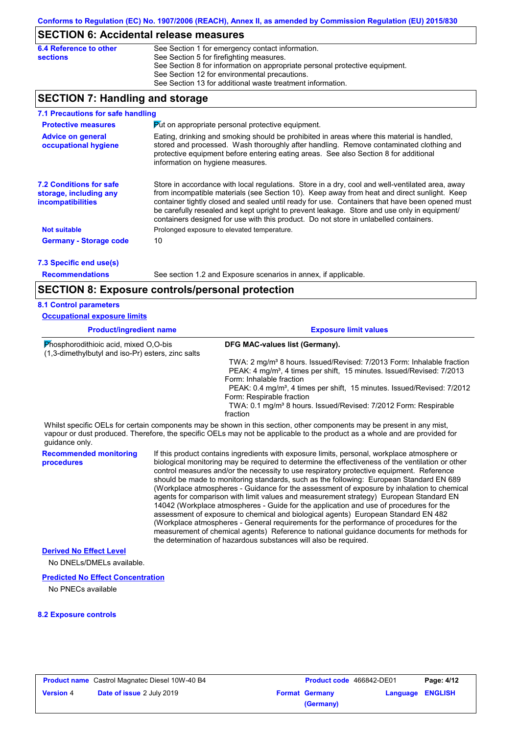## **SECTION 6: Accidental release measures**

| 6.4 Reference to other | See Section 1 for emergency contact information.                            |
|------------------------|-----------------------------------------------------------------------------|
| <b>sections</b>        | See Section 5 for firefighting measures.                                    |
|                        | See Section 8 for information on appropriate personal protective equipment. |
|                        | See Section 12 for environmental precautions.                               |
|                        | See Section 13 for additional waste treatment information.                  |

## **SECTION 7: Handling and storage**

| 7.1 Precautions for safe handling                                                                                                                                                                                                    |                                                                                                                                                                                                                                                                                                                                                                                                                                                                                          |
|--------------------------------------------------------------------------------------------------------------------------------------------------------------------------------------------------------------------------------------|------------------------------------------------------------------------------------------------------------------------------------------------------------------------------------------------------------------------------------------------------------------------------------------------------------------------------------------------------------------------------------------------------------------------------------------------------------------------------------------|
| <b>Protective measures</b>                                                                                                                                                                                                           | Put on appropriate personal protective equipment.                                                                                                                                                                                                                                                                                                                                                                                                                                        |
| <b>Advice on general</b><br>occupational hygiene                                                                                                                                                                                     | Eating, drinking and smoking should be prohibited in areas where this material is handled.<br>stored and processed. Wash thoroughly after handling. Remove contaminated clothing and<br>protective equipment before entering eating areas. See also Section 8 for additional<br>information on hygiene measures.                                                                                                                                                                         |
| <b>7.2 Conditions for safe</b><br>storage, including any<br>incompatibilities                                                                                                                                                        | Store in accordance with local regulations. Store in a dry, cool and well-ventilated area, away<br>from incompatible materials (see Section 10). Keep away from heat and direct sunlight. Keep<br>container tightly closed and sealed until ready for use. Containers that have been opened must<br>be carefully resealed and kept upright to prevent leakage. Store and use only in equipment/<br>containers designed for use with this product. Do not store in unlabelled containers. |
| <b>Not suitable</b>                                                                                                                                                                                                                  | Prolonged exposure to elevated temperature.                                                                                                                                                                                                                                                                                                                                                                                                                                              |
| <b>Germany - Storage code</b>                                                                                                                                                                                                        | 10                                                                                                                                                                                                                                                                                                                                                                                                                                                                                       |
| 7.3 Specific end use(s)                                                                                                                                                                                                              |                                                                                                                                                                                                                                                                                                                                                                                                                                                                                          |
| <b>December of the decision of the second contract of the second contract of the second contract of the second contract of the second contract of the second contract of the second contract of the second contract of the secon</b> | Cas sestion 1.2 and Evropuse secondrice in appey if applicable                                                                                                                                                                                                                                                                                                                                                                                                                           |

**Recommendations**

See section 1.2 and Exposure scenarios in annex, if applicable.

## **SECTION 8: Exposure controls/personal protection**

| <b>Product/ingredient name</b>                                                             |  | <b>Exposure limit values</b>                                                                                                                                                                                                                         |  |
|--------------------------------------------------------------------------------------------|--|------------------------------------------------------------------------------------------------------------------------------------------------------------------------------------------------------------------------------------------------------|--|
| Phosphorodithioic acid, mixed O,O-bis<br>(1,3-dimethylbutyl and iso-Pr) esters, zinc salts |  | DFG MAC-values list (Germany).                                                                                                                                                                                                                       |  |
|                                                                                            |  | TWA: 2 mg/m <sup>3</sup> 8 hours. Issued/Revised: 7/2013 Form: Inhalable fraction<br>PEAK: 4 mg/m <sup>3</sup> , 4 times per shift, 15 minutes. Issued/Revised: 7/2013<br>Form: Inhalable fraction                                                   |  |
|                                                                                            |  | PEAK: 0.4 mg/m <sup>3</sup> , 4 times per shift, 15 minutes. Issued/Revised: 7/2012<br>Form: Respirable fraction                                                                                                                                     |  |
|                                                                                            |  | TWA: 0.1 mg/m <sup>3</sup> 8 hours. Issued/Revised: 7/2012 Form: Respirable<br>fraction                                                                                                                                                              |  |
| guidance only.                                                                             |  | Whilst specific OELs for certain components may be shown in this section, other components may be present in any mist,<br>vapour or dust produced. Therefore, the specific OELs may not be applicable to the product as a whole and are provided for |  |
| <b>Recommended monitoring</b><br>procedures                                                |  | If this product contains ingredients with exposure limits, personal, workplace atmosphere or<br>biological monitoring may be required to determine the effectiveness of the ventilation or other                                                     |  |

control measures and/or the necessity to use respiratory protective equipment. Reference should be made to monitoring standards, such as the following: European Standard EN 689 (Workplace atmospheres - Guidance for the assessment of exposure by inhalation to chemical agents for comparison with limit values and measurement strategy) European Standard EN 14042 (Workplace atmospheres - Guide for the application and use of procedures for the assessment of exposure to chemical and biological agents) European Standard EN 482 (Workplace atmospheres - General requirements for the performance of procedures for the measurement of chemical agents) Reference to national guidance documents for methods for the determination of hazardous substances will also be required.

### **Derived No Effect Level**

No DNELs/DMELs available.

#### **Predicted No Effect Concentration**

No PNECs available

### **8.2 Exposure controls**

|                  | <b>Product name</b> Castrol Magnatec Diesel 10W-40 B4 | Product code 466842-DE01 |                  | Page: 4/12 |
|------------------|-------------------------------------------------------|--------------------------|------------------|------------|
| <b>Version 4</b> | <b>Date of issue 2 July 2019</b>                      | <b>Format Germany</b>    | Language ENGLISH |            |
|                  |                                                       | (Germany)                |                  |            |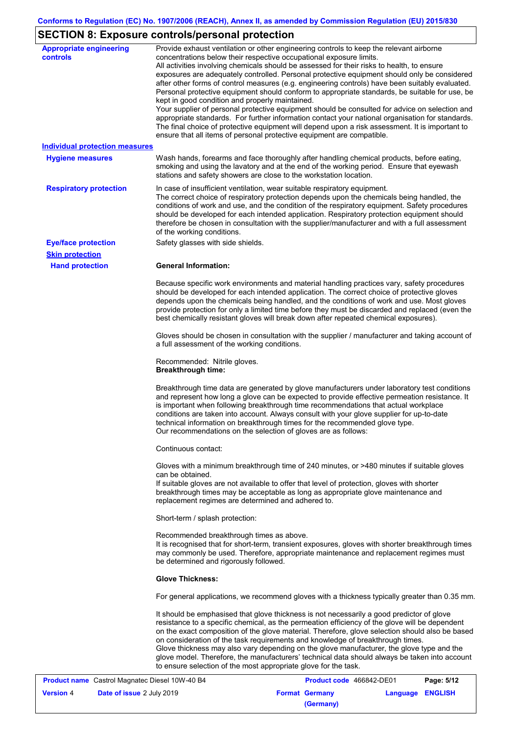# **SECTION 8: Exposure controls/personal protection**

| <b>Appropriate engineering</b><br><b>controls</b> | Provide exhaust ventilation or other engineering controls to keep the relevant airborne<br>concentrations below their respective occupational exposure limits.<br>All activities involving chemicals should be assessed for their risks to health, to ensure<br>exposures are adequately controlled. Personal protective equipment should only be considered<br>after other forms of control measures (e.g. engineering controls) have been suitably evaluated.<br>Personal protective equipment should conform to appropriate standards, be suitable for use, be<br>kept in good condition and properly maintained.<br>Your supplier of personal protective equipment should be consulted for advice on selection and<br>appropriate standards. For further information contact your national organisation for standards.<br>The final choice of protective equipment will depend upon a risk assessment. It is important to<br>ensure that all items of personal protective equipment are compatible. |
|---------------------------------------------------|---------------------------------------------------------------------------------------------------------------------------------------------------------------------------------------------------------------------------------------------------------------------------------------------------------------------------------------------------------------------------------------------------------------------------------------------------------------------------------------------------------------------------------------------------------------------------------------------------------------------------------------------------------------------------------------------------------------------------------------------------------------------------------------------------------------------------------------------------------------------------------------------------------------------------------------------------------------------------------------------------------|
| <b>Individual protection measures</b>             |                                                                                                                                                                                                                                                                                                                                                                                                                                                                                                                                                                                                                                                                                                                                                                                                                                                                                                                                                                                                         |
| <b>Hygiene measures</b>                           | Wash hands, forearms and face thoroughly after handling chemical products, before eating,<br>smoking and using the lavatory and at the end of the working period. Ensure that eyewash<br>stations and safety showers are close to the workstation location.                                                                                                                                                                                                                                                                                                                                                                                                                                                                                                                                                                                                                                                                                                                                             |
| <b>Respiratory protection</b>                     | In case of insufficient ventilation, wear suitable respiratory equipment.<br>The correct choice of respiratory protection depends upon the chemicals being handled, the<br>conditions of work and use, and the condition of the respiratory equipment. Safety procedures<br>should be developed for each intended application. Respiratory protection equipment should<br>therefore be chosen in consultation with the supplier/manufacturer and with a full assessment<br>of the working conditions.                                                                                                                                                                                                                                                                                                                                                                                                                                                                                                   |
| <b>Eye/face protection</b>                        | Safety glasses with side shields.                                                                                                                                                                                                                                                                                                                                                                                                                                                                                                                                                                                                                                                                                                                                                                                                                                                                                                                                                                       |
| <b>Skin protection</b>                            |                                                                                                                                                                                                                                                                                                                                                                                                                                                                                                                                                                                                                                                                                                                                                                                                                                                                                                                                                                                                         |
| <b>Hand protection</b>                            | <b>General Information:</b>                                                                                                                                                                                                                                                                                                                                                                                                                                                                                                                                                                                                                                                                                                                                                                                                                                                                                                                                                                             |
|                                                   | Because specific work environments and material handling practices vary, safety procedures<br>should be developed for each intended application. The correct choice of protective gloves<br>depends upon the chemicals being handled, and the conditions of work and use. Most gloves<br>provide protection for only a limited time before they must be discarded and replaced (even the<br>best chemically resistant gloves will break down after repeated chemical exposures).                                                                                                                                                                                                                                                                                                                                                                                                                                                                                                                        |
|                                                   | Gloves should be chosen in consultation with the supplier / manufacturer and taking account of<br>a full assessment of the working conditions.                                                                                                                                                                                                                                                                                                                                                                                                                                                                                                                                                                                                                                                                                                                                                                                                                                                          |
|                                                   | Recommended: Nitrile gloves.<br><b>Breakthrough time:</b>                                                                                                                                                                                                                                                                                                                                                                                                                                                                                                                                                                                                                                                                                                                                                                                                                                                                                                                                               |
|                                                   | Breakthrough time data are generated by glove manufacturers under laboratory test conditions<br>and represent how long a glove can be expected to provide effective permeation resistance. It<br>is important when following breakthrough time recommendations that actual workplace<br>conditions are taken into account. Always consult with your glove supplier for up-to-date<br>technical information on breakthrough times for the recommended glove type.<br>Our recommendations on the selection of gloves are as follows:                                                                                                                                                                                                                                                                                                                                                                                                                                                                      |
|                                                   | Continuous contact:                                                                                                                                                                                                                                                                                                                                                                                                                                                                                                                                                                                                                                                                                                                                                                                                                                                                                                                                                                                     |
|                                                   | Gloves with a minimum breakthrough time of 240 minutes, or >480 minutes if suitable gloves<br>can be obtained.<br>If suitable gloves are not available to offer that level of protection, gloves with shorter<br>breakthrough times may be acceptable as long as appropriate glove maintenance and<br>replacement regimes are determined and adhered to.                                                                                                                                                                                                                                                                                                                                                                                                                                                                                                                                                                                                                                                |
|                                                   | Short-term / splash protection:                                                                                                                                                                                                                                                                                                                                                                                                                                                                                                                                                                                                                                                                                                                                                                                                                                                                                                                                                                         |
|                                                   | Recommended breakthrough times as above.<br>It is recognised that for short-term, transient exposures, gloves with shorter breakthrough times<br>may commonly be used. Therefore, appropriate maintenance and replacement regimes must<br>be determined and rigorously followed.                                                                                                                                                                                                                                                                                                                                                                                                                                                                                                                                                                                                                                                                                                                        |
|                                                   | <b>Glove Thickness:</b>                                                                                                                                                                                                                                                                                                                                                                                                                                                                                                                                                                                                                                                                                                                                                                                                                                                                                                                                                                                 |
|                                                   | For general applications, we recommend gloves with a thickness typically greater than 0.35 mm.                                                                                                                                                                                                                                                                                                                                                                                                                                                                                                                                                                                                                                                                                                                                                                                                                                                                                                          |
|                                                   | It should be emphasised that glove thickness is not necessarily a good predictor of glove<br>resistance to a specific chemical, as the permeation efficiency of the glove will be dependent<br>on the exact composition of the glove material. Therefore, glove selection should also be based<br>on consideration of the task requirements and knowledge of breakthrough times.<br>Glove thickness may also vary depending on the glove manufacturer, the glove type and the<br>glove model. Therefore, the manufacturers' technical data should always be taken into account<br>to ensure selection of the most appropriate glove for the task.                                                                                                                                                                                                                                                                                                                                                       |

| <b>Product name</b> Castrol Magnatec Diesel 10W-40 B4 |                                  | Product code 466842-DE01 |                       | Page: 5/12       |  |
|-------------------------------------------------------|----------------------------------|--------------------------|-----------------------|------------------|--|
| <b>Version 4</b>                                      | <b>Date of issue 2 July 2019</b> |                          | <b>Format Germany</b> | Language ENGLISH |  |
|                                                       |                                  |                          | (Germany)             |                  |  |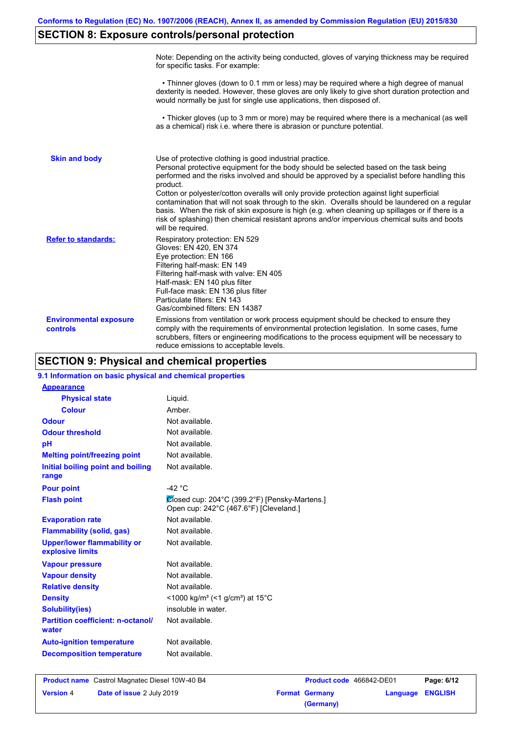## **SECTION 8: Exposure controls/personal protection**

|                                           | Note: Depending on the activity being conducted, gloves of varying thickness may be required<br>for specific tasks. For example:                                                                                                                                                                                                                                                                                                                                                                                                                                                                                                                                                      |
|-------------------------------------------|---------------------------------------------------------------------------------------------------------------------------------------------------------------------------------------------------------------------------------------------------------------------------------------------------------------------------------------------------------------------------------------------------------------------------------------------------------------------------------------------------------------------------------------------------------------------------------------------------------------------------------------------------------------------------------------|
|                                           | • Thinner gloves (down to 0.1 mm or less) may be required where a high degree of manual<br>dexterity is needed. However, these gloves are only likely to give short duration protection and<br>would normally be just for single use applications, then disposed of.                                                                                                                                                                                                                                                                                                                                                                                                                  |
|                                           | • Thicker gloves (up to 3 mm or more) may be required where there is a mechanical (as well<br>as a chemical) risk i.e. where there is abrasion or puncture potential.                                                                                                                                                                                                                                                                                                                                                                                                                                                                                                                 |
| <b>Skin and body</b>                      | Use of protective clothing is good industrial practice.<br>Personal protective equipment for the body should be selected based on the task being<br>performed and the risks involved and should be approved by a specialist before handling this<br>product.<br>Cotton or polyester/cotton overalls will only provide protection against light superficial<br>contamination that will not soak through to the skin. Overalls should be laundered on a regular<br>basis. When the risk of skin exposure is high (e.g. when cleaning up spillages or if there is a<br>risk of splashing) then chemical resistant aprons and/or impervious chemical suits and boots<br>will be required. |
| <b>Refer to standards:</b>                | Respiratory protection: EN 529<br>Gloves: EN 420, EN 374<br>Eye protection: EN 166<br>Filtering half-mask: EN 149<br>Filtering half-mask with valve: EN 405<br>Half-mask: EN 140 plus filter<br>Full-face mask: EN 136 plus filter<br>Particulate filters: EN 143<br>Gas/combined filters: EN 14387                                                                                                                                                                                                                                                                                                                                                                                   |
| <b>Environmental exposure</b><br>controls | Emissions from ventilation or work process equipment should be checked to ensure they<br>comply with the requirements of environmental protection legislation. In some cases, fume<br>scrubbers, filters or engineering modifications to the process equipment will be necessary to<br>reduce emissions to acceptable levels.                                                                                                                                                                                                                                                                                                                                                         |

## **SECTION 9: Physical and chemical properties**

| 9.1 Information on basic physical and chemical properties |                                                                                         |
|-----------------------------------------------------------|-----------------------------------------------------------------------------------------|
| <b>Appearance</b>                                         |                                                                                         |
| <b>Physical state</b>                                     | Liquid.                                                                                 |
| <b>Colour</b>                                             | Amber.                                                                                  |
| <b>Odour</b>                                              | Not available.                                                                          |
| <b>Odour threshold</b>                                    | Not available.                                                                          |
| pH                                                        | Not available.                                                                          |
| <b>Melting point/freezing point</b>                       | Not available.                                                                          |
| Initial boiling point and boiling<br>range                | Not available.                                                                          |
| <b>Pour point</b>                                         | -42 $\degree$ C                                                                         |
| <b>Flash point</b>                                        | Ølosed cup: 204°C (399.2°F) [Pensky-Martens.]<br>Open cup: 242°C (467.6°F) [Cleveland.] |
| <b>Evaporation rate</b>                                   | Not available.                                                                          |
| <b>Flammability (solid, gas)</b>                          | Not available.                                                                          |
| <b>Upper/lower flammability or</b><br>explosive limits    | Not available.                                                                          |
| <b>Vapour pressure</b>                                    | Not available.                                                                          |
| <b>Vapour density</b>                                     | Not available.                                                                          |
| <b>Relative density</b>                                   | Not available.                                                                          |
| <b>Density</b>                                            | <1000 kg/m <sup>3</sup> (<1 g/cm <sup>3</sup> ) at 15 <sup>°</sup> C                    |
| <b>Solubility(ies)</b>                                    | insoluble in water.                                                                     |
| <b>Partition coefficient: n-octanol/</b><br>water         | Not available.                                                                          |
| <b>Auto-ignition temperature</b>                          | Not available.                                                                          |
| <b>Decomposition temperature</b>                          | Not available.                                                                          |
|                                                           |                                                                                         |

**Product name** Castrol Magnatec Diesel 10W-40 B4 **Product Code 466842-DE01 Page: 6/12 Version** 4 **Date of issue** 2 July 2019 **Format Germany Language ENGLISH (Germany)**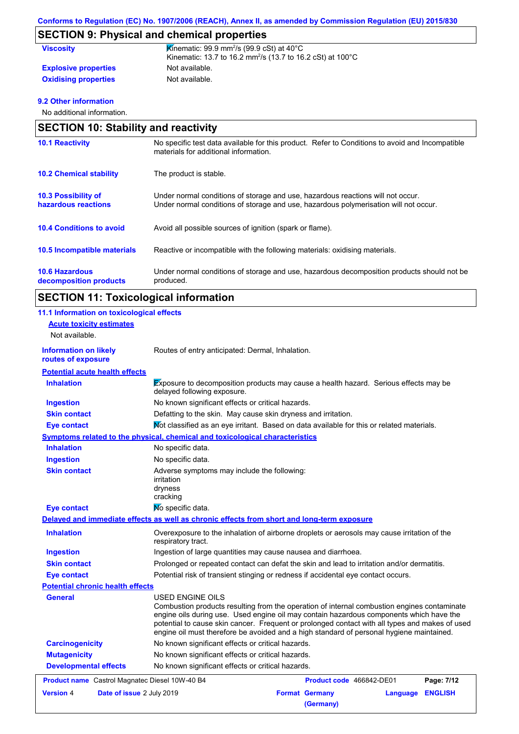# **SECTION 9: Physical and chemical properties**

| <b>Viscosity</b>            | <b>Kinematic: 99.9 mm<sup>2</sup>/s (99.9 cSt) at 40 °C</b><br>Kinematic: 13.7 to 16.2 mm <sup>2</sup> /s (13.7 to 16.2 cSt) at 100°C |
|-----------------------------|---------------------------------------------------------------------------------------------------------------------------------------|
| <b>Explosive properties</b> | Not available.                                                                                                                        |
| <b>Oxidising properties</b> | Not available.                                                                                                                        |

## **9.2 Other information**

No additional information.

| <b>SECTION 10: Stability and reactivity</b>       |                                                                                                                                                                         |  |
|---------------------------------------------------|-------------------------------------------------------------------------------------------------------------------------------------------------------------------------|--|
| <b>10.1 Reactivity</b>                            | No specific test data available for this product. Refer to Conditions to avoid and Incompatible<br>materials for additional information.                                |  |
| <b>10.2 Chemical stability</b>                    | The product is stable.                                                                                                                                                  |  |
| <b>10.3 Possibility of</b><br>hazardous reactions | Under normal conditions of storage and use, hazardous reactions will not occur.<br>Under normal conditions of storage and use, hazardous polymerisation will not occur. |  |
| <b>10.4 Conditions to avoid</b>                   | Avoid all possible sources of ignition (spark or flame).                                                                                                                |  |
| 10.5 Incompatible materials                       | Reactive or incompatible with the following materials: oxidising materials.                                                                                             |  |
| <b>10.6 Hazardous</b><br>decomposition products   | Under normal conditions of storage and use, hazardous decomposition products should not be<br>produced.                                                                 |  |

# **SECTION 11: Toxicological information**

| 11.1 Information on toxicological effects          |                                                                                                                                                                                                                                                                                                                                                                                                          |
|----------------------------------------------------|----------------------------------------------------------------------------------------------------------------------------------------------------------------------------------------------------------------------------------------------------------------------------------------------------------------------------------------------------------------------------------------------------------|
| <b>Acute toxicity estimates</b>                    |                                                                                                                                                                                                                                                                                                                                                                                                          |
| Not available.                                     |                                                                                                                                                                                                                                                                                                                                                                                                          |
| <b>Information on likely</b><br>routes of exposure | Routes of entry anticipated: Dermal, Inhalation.                                                                                                                                                                                                                                                                                                                                                         |
| <b>Potential acute health effects</b>              |                                                                                                                                                                                                                                                                                                                                                                                                          |
| <b>Inhalation</b>                                  | <b>Exposure to decomposition products may cause a health hazard.</b> Serious effects may be<br>delayed following exposure.                                                                                                                                                                                                                                                                               |
| <b>Ingestion</b>                                   | No known significant effects or critical hazards.                                                                                                                                                                                                                                                                                                                                                        |
| <b>Skin contact</b>                                | Defatting to the skin. May cause skin dryness and irritation.                                                                                                                                                                                                                                                                                                                                            |
| <b>Eye contact</b>                                 | Mot classified as an eye irritant. Based on data available for this or related materials.                                                                                                                                                                                                                                                                                                                |
|                                                    | Symptoms related to the physical, chemical and toxicological characteristics                                                                                                                                                                                                                                                                                                                             |
| <b>Inhalation</b>                                  | No specific data.                                                                                                                                                                                                                                                                                                                                                                                        |
| <b>Ingestion</b>                                   | No specific data.                                                                                                                                                                                                                                                                                                                                                                                        |
| <b>Skin contact</b>                                | Adverse symptoms may include the following:<br>irritation<br>dryness<br>cracking                                                                                                                                                                                                                                                                                                                         |
| <b>Eye contact</b>                                 | No specific data.                                                                                                                                                                                                                                                                                                                                                                                        |
|                                                    | Delayed and immediate effects as well as chronic effects from short and long-term exposure                                                                                                                                                                                                                                                                                                               |
| <b>Inhalation</b>                                  | Overexposure to the inhalation of airborne droplets or aerosols may cause irritation of the<br>respiratory tract.                                                                                                                                                                                                                                                                                        |
| <b>Ingestion</b>                                   | Ingestion of large quantities may cause nausea and diarrhoea.                                                                                                                                                                                                                                                                                                                                            |
| <b>Skin contact</b>                                | Prolonged or repeated contact can defat the skin and lead to irritation and/or dermatitis.                                                                                                                                                                                                                                                                                                               |
| <b>Eye contact</b>                                 | Potential risk of transient stinging or redness if accidental eye contact occurs.                                                                                                                                                                                                                                                                                                                        |
| <b>Potential chronic health effects</b>            |                                                                                                                                                                                                                                                                                                                                                                                                          |
| <b>General</b>                                     | USED ENGINE OILS<br>Combustion products resulting from the operation of internal combustion engines contaminate<br>engine oils during use. Used engine oil may contain hazardous components which have the<br>potential to cause skin cancer. Frequent or prolonged contact with all types and makes of used<br>engine oil must therefore be avoided and a high standard of personal hygiene maintained. |
| <b>Carcinogenicity</b>                             | No known significant effects or critical hazards.                                                                                                                                                                                                                                                                                                                                                        |
| <b>Mutagenicity</b>                                | No known significant effects or critical hazards.                                                                                                                                                                                                                                                                                                                                                        |
| <b>Developmental effects</b>                       | No known significant effects or critical hazards.                                                                                                                                                                                                                                                                                                                                                        |
| Product name Castrol Magnatec Diesel 10W-40 B4     | Product code 466842-DE01<br>Page: 7/12                                                                                                                                                                                                                                                                                                                                                                   |
| <b>Version 4</b><br>Date of issue 2 July 2019      | <b>ENGLISH</b><br><b>Format Germany</b><br>Language<br>(Germany)                                                                                                                                                                                                                                                                                                                                         |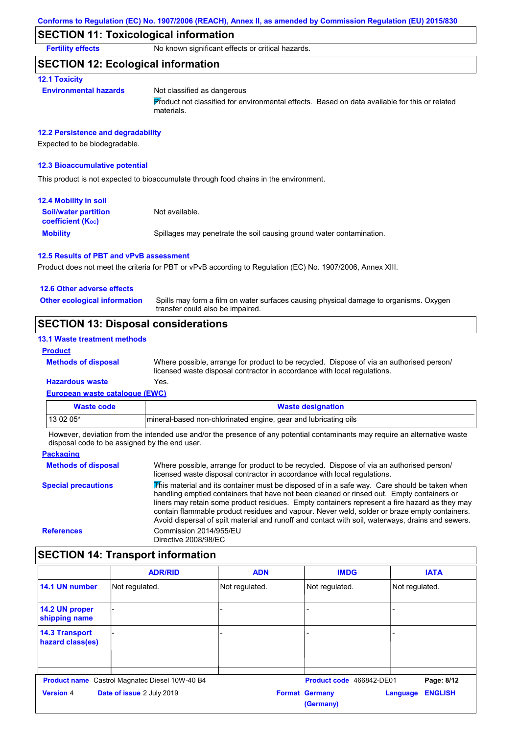## **SECTION 11: Toxicological information**

**Fertility effects** No known significant effects or critical hazards.

## **SECTION 12: Ecological information**

### **12.1 Toxicity**

#### **Environmental hazards** Not classified as dangerous

Product not classified for environmental effects. Based on data available for this or related materials.

### **12.2 Persistence and degradability**

Expected to be biodegradable.

### **12.3 Bioaccumulative potential**

This product is not expected to bioaccumulate through food chains in the environment.

| <b>12.4 Mobility in soil</b>                            |                                                                      |
|---------------------------------------------------------|----------------------------------------------------------------------|
| <b>Soil/water partition</b><br><b>coefficient (Koc)</b> | Not available.                                                       |
| <b>Mobility</b>                                         | Spillages may penetrate the soil causing ground water contamination. |

#### **12.5 Results of PBT and vPvB assessment**

Product does not meet the criteria for PBT or vPvB according to Regulation (EC) No. 1907/2006, Annex XIII.

#### **12.6 Other adverse effects**

**Other ecological information**

Spills may form a film on water surfaces causing physical damage to organisms. Oxygen transfer could also be impaired.

## **SECTION 13: Disposal considerations**

### **13.1 Waste treatment methods**

### **Product**

Where possible, arrange for product to be recycled. Dispose of via an authorised person/ licensed waste disposal contractor in accordance with local regulations.

## **Hazardous waste** Yes.

**Methods of disposal**

| European waste catalogue (EWC) |                                                                 |  |
|--------------------------------|-----------------------------------------------------------------|--|
| <b>Waste code</b>              | <b>Waste designation</b>                                        |  |
| $130205*$                      | mineral-based non-chlorinated engine, gear and lubricating oils |  |

However, deviation from the intended use and/or the presence of any potential contaminants may require an alternative waste disposal code to be assigned by the end user.

#### **Packaging Methods of disposal Special precautions** Where possible, arrange for product to be recycled. Dispose of via an authorised person/ licensed waste disposal contractor in accordance with local regulations.  $\overline{\mathbf{F}}$ his material and its container must be disposed of in a safe way. Care should be taken when handling emptied containers that have not been cleaned or rinsed out. Empty containers or liners may retain some product residues. Empty containers represent a fire hazard as they may contain flammable product residues and vapour. Never weld, solder or braze empty containers. Avoid dispersal of spilt material and runoff and contact with soil, waterways, drains and sewers. **References** Commission 2014/955/EU Directive 2008/98/EC

## **SECTION 14: Transport information**

|                                                       | <b>ADR/RID</b>            | <b>ADN</b>     | <b>IMDG</b>                        | <b>IATA</b>                |
|-------------------------------------------------------|---------------------------|----------------|------------------------------------|----------------------------|
| 14.1 UN number                                        | Not regulated.            | Not regulated. | Not regulated.                     | Not regulated.             |
| 14.2 UN proper<br>shipping name                       |                           |                |                                    |                            |
| <b>14.3 Transport</b><br>hazard class(es)             |                           |                |                                    |                            |
|                                                       |                           |                | Product code 466842-DE01           |                            |
| <b>Product name</b> Castrol Magnatec Diesel 10W-40 B4 |                           |                | Page: 8/12                         |                            |
| <b>Version 4</b>                                      | Date of issue 2 July 2019 |                | <b>Format Germany</b><br>(Germany) | <b>ENGLISH</b><br>Language |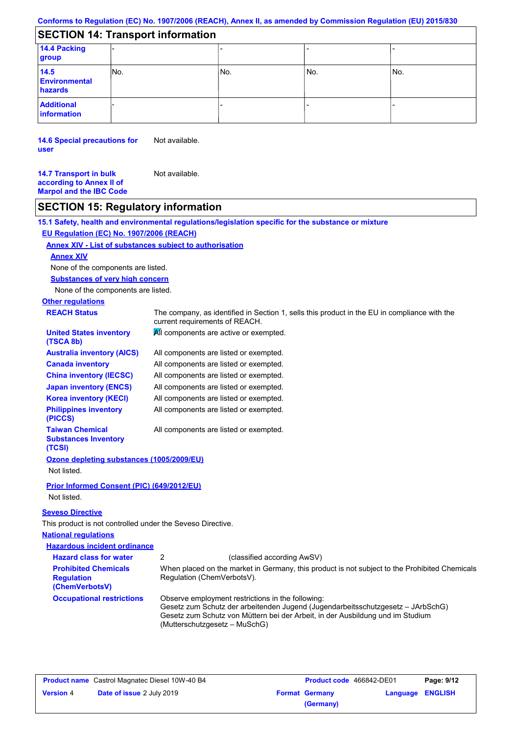## **SECTION 14: Transport information**

| 14.4 Packing<br>group                   |     |     |       |     |
|-----------------------------------------|-----|-----|-------|-----|
| 14.5<br><b>Environmental</b><br>hazards | No. | No. | l No. | No. |
| <b>Additional</b><br>information        |     |     |       |     |

**14.6 Special precautions for user** Not available.

**14.7 Transport in bulk**  Not available.

**according to Annex II of Marpol and the IBC Code**

## **SECTION 15: Regulatory information**

**15.1 Safety, health and environmental regulations/legislation specific for the substance or mixture**

## **EU Regulation (EC) No. 1907/2006 (REACH)**

## **Annex XIV - List of substances subject to authorisation**

### **Annex XIV**

None of the components are listed.

**Substances of very high concern**

None of the components are listed.

# **Other regulations**

| <b>REACH Status</b>                                             | The company, as identified in Section 1, sells this product in the EU in compliance with the<br>current requirements of REACH. |
|-----------------------------------------------------------------|--------------------------------------------------------------------------------------------------------------------------------|
| <b>United States inventory</b><br>(TSCA 8b)                     | All components are active or exempted.                                                                                         |
| <b>Australia inventory (AICS)</b>                               | All components are listed or exempted.                                                                                         |
| <b>Canada inventory</b>                                         | All components are listed or exempted.                                                                                         |
| <b>China inventory (IECSC)</b>                                  | All components are listed or exempted.                                                                                         |
| <b>Japan inventory (ENCS)</b>                                   | All components are listed or exempted.                                                                                         |
| <b>Korea inventory (KECI)</b>                                   | All components are listed or exempted.                                                                                         |
| <b>Philippines inventory</b><br>(PICCS)                         | All components are listed or exempted.                                                                                         |
| <b>Taiwan Chemical</b><br><b>Substances Inventory</b><br>(TCSI) | All components are listed or exempted.                                                                                         |
| Ozone depleting substances (1005/2009/EU)                       |                                                                                                                                |
| Not listed.                                                     |                                                                                                                                |
| Prior Informed Consent (PIC) (649/2012/EU)                      |                                                                                                                                |
| Not listed.                                                     |                                                                                                                                |
| <b>Seveso Directive</b>                                         |                                                                                                                                |
| This product is not controlled under the Seveso Directive.      |                                                                                                                                |
|                                                                 |                                                                                                                                |

### **National regulations**

| <b>Hazardous incident ordinance</b>                                |                                                                                                                                                                                                                                                         |                                                                                               |
|--------------------------------------------------------------------|---------------------------------------------------------------------------------------------------------------------------------------------------------------------------------------------------------------------------------------------------------|-----------------------------------------------------------------------------------------------|
| <b>Hazard class for water</b>                                      |                                                                                                                                                                                                                                                         | (classified according AwSV)                                                                   |
| <b>Prohibited Chemicals</b><br><b>Regulation</b><br>(ChemVerbotsV) | Regulation (ChemVerbotsV).                                                                                                                                                                                                                              | When placed on the market in Germany, this product is not subject to the Prohibited Chemicals |
| <b>Occupational restrictions</b>                                   | Observe employment restrictions in the following:<br>Gesetz zum Schutz der arbeitenden Jugend (Jugendarbeitsschutzgesetz - JArbSchG)<br>Gesetz zum Schutz von Müttern bei der Arbeit, in der Ausbildung und im Studium<br>(Mutterschutzgesetz – MuSchG) |                                                                                               |

| <b>Product name</b> Castrol Magnatec Diesel 10W-40 B4 |                                  | <b>Product code</b> 466842-DE01 |                       | Page: 9/12              |  |
|-------------------------------------------------------|----------------------------------|---------------------------------|-----------------------|-------------------------|--|
| <b>Version 4</b>                                      | <b>Date of issue 2 July 2019</b> |                                 | <b>Format Germany</b> | <b>Language ENGLISH</b> |  |
|                                                       |                                  |                                 | (Germany)             |                         |  |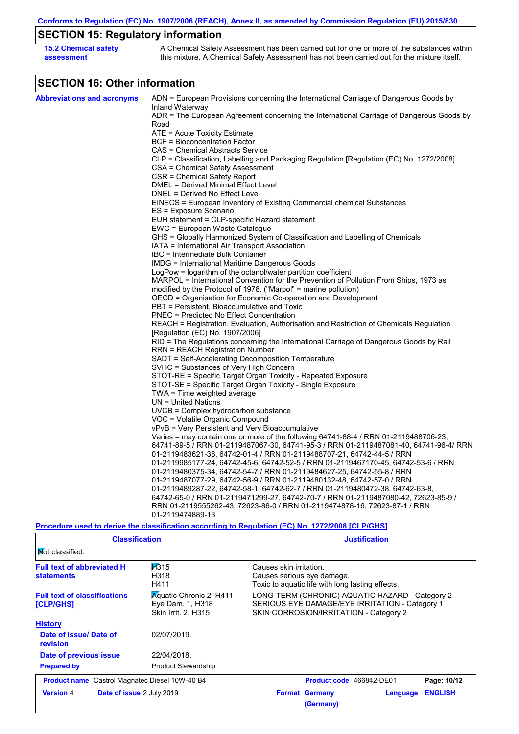**Conforms to Regulation (EC) No. 1907/2006 (REACH), Annex II, as amended by Commission Regulation (EU) 2015/830**

# **SECTION 15: Regulatory information**

| <b>15.2 Chemical safety</b> | A Chemical Safety Assessment has been carried out for one or more of the substances within  |
|-----------------------------|---------------------------------------------------------------------------------------------|
| assessment                  | this mixture. A Chemical Safety Assessment has not been carried out for the mixture itself. |

# **SECTION 16: Other information**

| <b>Abbreviations and acronyms</b> | ADN = European Provisions concerning the International Carriage of Dangerous Goods by            |
|-----------------------------------|--------------------------------------------------------------------------------------------------|
|                                   | Inland Waterway                                                                                  |
|                                   | ADR = The European Agreement concerning the International Carriage of Dangerous Goods by         |
|                                   | Road                                                                                             |
|                                   | ATE = Acute Toxicity Estimate                                                                    |
|                                   | <b>BCF</b> = Bioconcentration Factor                                                             |
|                                   | CAS = Chemical Abstracts Service                                                                 |
|                                   | CLP = Classification, Labelling and Packaging Regulation [Regulation (EC) No. 1272/2008]         |
|                                   | CSA = Chemical Safety Assessment                                                                 |
|                                   | CSR = Chemical Safety Report                                                                     |
|                                   | DMEL = Derived Minimal Effect Level                                                              |
|                                   | DNEL = Derived No Effect Level                                                                   |
|                                   | EINECS = European Inventory of Existing Commercial chemical Substances                           |
|                                   | ES = Exposure Scenario                                                                           |
|                                   | EUH statement = CLP-specific Hazard statement<br>EWC = European Waste Catalogue                  |
|                                   | GHS = Globally Harmonized System of Classification and Labelling of Chemicals                    |
|                                   |                                                                                                  |
|                                   | IATA = International Air Transport Association<br>IBC = Intermediate Bulk Container              |
|                                   |                                                                                                  |
|                                   | IMDG = International Maritime Dangerous Goods                                                    |
|                                   | LogPow = logarithm of the octanol/water partition coefficient                                    |
|                                   | MARPOL = International Convention for the Prevention of Pollution From Ships, 1973 as            |
|                                   | modified by the Protocol of 1978. ("Marpol" = marine pollution)                                  |
|                                   | OECD = Organisation for Economic Co-operation and Development                                    |
|                                   | PBT = Persistent, Bioaccumulative and Toxic                                                      |
|                                   | <b>PNEC = Predicted No Effect Concentration</b>                                                  |
|                                   | REACH = Registration, Evaluation, Authorisation and Restriction of Chemicals Regulation          |
|                                   | [Regulation (EC) No. 1907/2006]                                                                  |
|                                   | RID = The Regulations concerning the International Carriage of Dangerous Goods by Rail           |
|                                   | RRN = REACH Registration Number                                                                  |
|                                   | SADT = Self-Accelerating Decomposition Temperature                                               |
|                                   | SVHC = Substances of Very High Concern                                                           |
|                                   | STOT-RE = Specific Target Organ Toxicity - Repeated Exposure                                     |
|                                   | STOT-SE = Specific Target Organ Toxicity - Single Exposure                                       |
|                                   | TWA = Time weighted average                                                                      |
|                                   | $UN = United Nations$                                                                            |
|                                   | $UVCB = Complex\;hydrocarbon\; substance$                                                        |
|                                   | VOC = Volatile Organic Compound                                                                  |
|                                   | vPvB = Very Persistent and Very Bioaccumulative                                                  |
|                                   | Varies = may contain one or more of the following 64741-88-4 / RRN 01-2119488706-23,             |
|                                   | 64741-89-5 / RRN 01-2119487067-30, 64741-95-3 / RRN 01-2119487081-40, 64741-96-4/ RRN            |
|                                   | 01-2119483621-38, 64742-01-4 / RRN 01-2119488707-21, 64742-44-5 / RRN                            |
|                                   | 01-2119985177-24, 64742-45-6, 64742-52-5 / RRN 01-2119467170-45, 64742-53-6 / RRN                |
|                                   | 01-2119480375-34, 64742-54-7 / RRN 01-2119484627-25, 64742-55-8 / RRN                            |
|                                   | 01-2119487077-29, 64742-56-9 / RRN 01-2119480132-48, 64742-57-0 / RRN                            |
|                                   | 01-2119489287-22, 64742-58-1, 64742-62-7 / RRN 01-2119480472-38, 64742-63-8,                     |
|                                   | 64742-65-0 / RRN 01-2119471299-27, 64742-70-7 / RRN 01-2119487080-42, 72623-85-9 /               |
|                                   | RRN 01-2119555262-43, 72623-86-0 / RRN 01-2119474878-16, 72623-87-1 / RRN                        |
|                                   | 01-2119474889-13                                                                                 |
|                                   | Procedure used to derive the classification according to Regulation (EC) No. 1272/2008 [CLP/GHS] |

 $\overline{1}$ 

| <b>Classification</b>                                  |                                                                           | <b>Justification</b>                                                                                                                        |  |  |
|--------------------------------------------------------|---------------------------------------------------------------------------|---------------------------------------------------------------------------------------------------------------------------------------------|--|--|
| <b>Not classified.</b>                                 |                                                                           |                                                                                                                                             |  |  |
| <b>Full text of abbreviated H</b><br><b>statements</b> | H315<br>H318<br>H411                                                      | Causes skin irritation.<br>Causes serious eye damage.<br>Toxic to aquatic life with long lasting effects.                                   |  |  |
| <b>Full text of classifications</b><br>[CLP/GHS]       | <b>Aguatic Chronic 2, H411</b><br>Eye Dam. 1, H318<br>Skin Irrit. 2, H315 | LONG-TERM (CHRONIC) AQUATIC HAZARD - Category 2<br>SERIOUS EYE DAMAGE/EYE IRRITATION - Category 1<br>SKIN CORROSION/IRRITATION - Category 2 |  |  |
| <b>History</b>                                         |                                                                           |                                                                                                                                             |  |  |
| Date of issue/Date of<br>revision                      | 02/07/2019.                                                               |                                                                                                                                             |  |  |
| Date of previous issue                                 | 22/04/2018.                                                               |                                                                                                                                             |  |  |
| <b>Prepared by</b>                                     | <b>Product Stewardship</b>                                                |                                                                                                                                             |  |  |
| <b>Product name</b> Castrol Magnatec Diesel 10W-40 B4  |                                                                           | Page: 10/12<br><b>Product code</b> 466842-DE01                                                                                              |  |  |
| <b>Version 4</b><br><b>Date of issue 2 July 2019</b>   |                                                                           | <b>ENGLISH</b><br><b>Format Germany</b><br>Language<br>(Germany)                                                                            |  |  |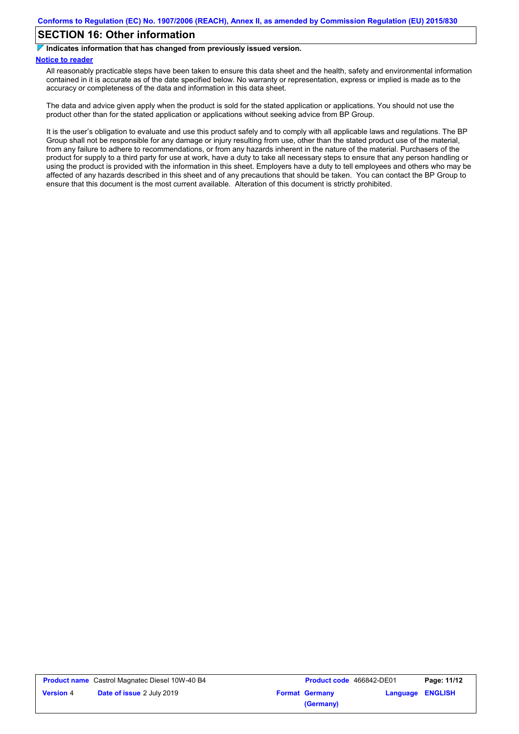## **SECTION 16: Other information**

 $\overline{\phantom{a}}$ **Indicates information that has changed from previously issued version.**

#### **Notice to reader**

All reasonably practicable steps have been taken to ensure this data sheet and the health, safety and environmental information contained in it is accurate as of the date specified below. No warranty or representation, express or implied is made as to the accuracy or completeness of the data and information in this data sheet.

The data and advice given apply when the product is sold for the stated application or applications. You should not use the product other than for the stated application or applications without seeking advice from BP Group.

It is the user's obligation to evaluate and use this product safely and to comply with all applicable laws and regulations. The BP Group shall not be responsible for any damage or injury resulting from use, other than the stated product use of the material, from any failure to adhere to recommendations, or from any hazards inherent in the nature of the material. Purchasers of the product for supply to a third party for use at work, have a duty to take all necessary steps to ensure that any person handling or using the product is provided with the information in this sheet. Employers have a duty to tell employees and others who may be affected of any hazards described in this sheet and of any precautions that should be taken. You can contact the BP Group to ensure that this document is the most current available. Alteration of this document is strictly prohibited.